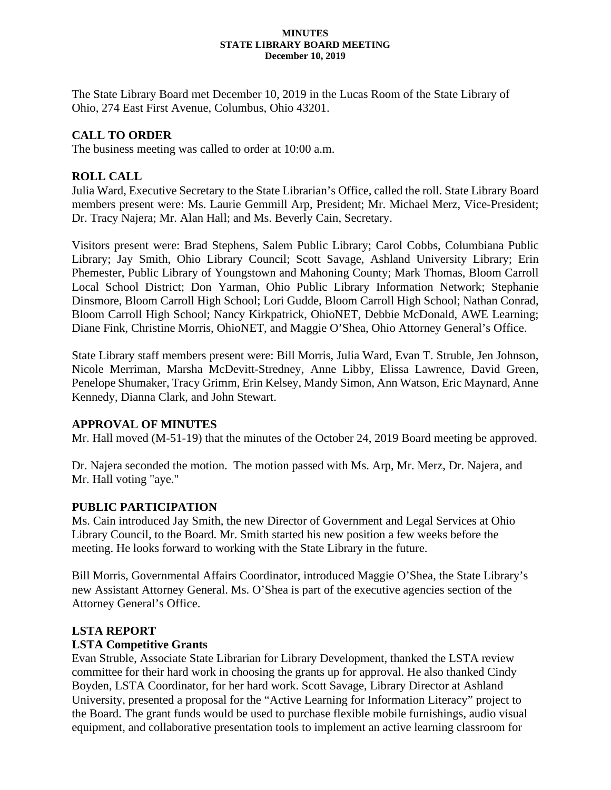#### **MINUTES STATE LIBRARY BOARD MEETING December 10, 2019**

The State Library Board met December 10, 2019 in the Lucas Room of the State Library of Ohio, 274 East First Avenue, Columbus, Ohio 43201.

## **CALL TO ORDER**

The business meeting was called to order at 10:00 a.m.

## **ROLL CALL**

Julia Ward, Executive Secretary to the State Librarian's Office, called the roll. State Library Board members present were: Ms. Laurie Gemmill Arp, President; Mr. Michael Merz, Vice-President; Dr. Tracy Najera; Mr. Alan Hall; and Ms. Beverly Cain, Secretary.

Visitors present were: Brad Stephens, Salem Public Library; Carol Cobbs, Columbiana Public Library; Jay Smith, Ohio Library Council; Scott Savage, Ashland University Library; Erin Phemester, Public Library of Youngstown and Mahoning County; Mark Thomas, Bloom Carroll Local School District; Don Yarman, Ohio Public Library Information Network; Stephanie Dinsmore, Bloom Carroll High School; Lori Gudde, Bloom Carroll High School; Nathan Conrad, Bloom Carroll High School; Nancy Kirkpatrick, OhioNET, Debbie McDonald, AWE Learning; Diane Fink, Christine Morris, OhioNET, and Maggie O'Shea, Ohio Attorney General's Office.

State Library staff members present were: Bill Morris, Julia Ward, Evan T. Struble, Jen Johnson, Nicole Merriman, Marsha McDevitt-Stredney, Anne Libby, Elissa Lawrence, David Green, Penelope Shumaker, Tracy Grimm, Erin Kelsey, Mandy Simon, Ann Watson, Eric Maynard, Anne Kennedy, Dianna Clark, and John Stewart.

## **APPROVAL OF MINUTES**

Mr. Hall moved (M-51-19) that the minutes of the October 24, 2019 Board meeting be approved.

Dr. Najera seconded the motion. The motion passed with Ms. Arp, Mr. Merz, Dr. Najera, and Mr. Hall voting "aye."

## **PUBLIC PARTICIPATION**

Ms. Cain introduced Jay Smith, the new Director of Government and Legal Services at Ohio Library Council, to the Board. Mr. Smith started his new position a few weeks before the meeting. He looks forward to working with the State Library in the future.

Bill Morris, Governmental Affairs Coordinator, introduced Maggie O'Shea, the State Library's new Assistant Attorney General. Ms. O'Shea is part of the executive agencies section of the Attorney General's Office.

## **LSTA REPORT**

## **LSTA Competitive Grants**

Evan Struble, Associate State Librarian for Library Development, thanked the LSTA review committee for their hard work in choosing the grants up for approval. He also thanked Cindy Boyden, LSTA Coordinator, for her hard work. Scott Savage, Library Director at Ashland University, presented a proposal for the "Active Learning for Information Literacy" project to the Board. The grant funds would be used to purchase flexible mobile furnishings, audio visual equipment, and collaborative presentation tools to implement an active learning classroom for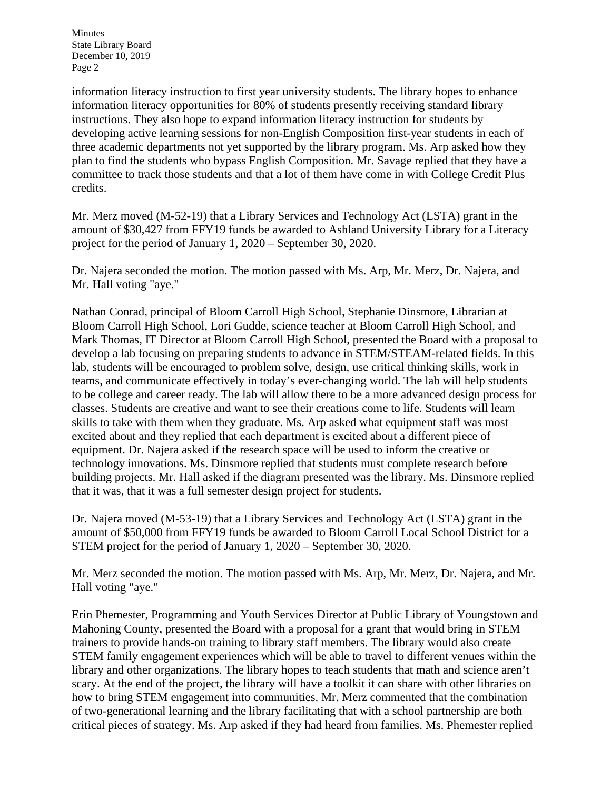information literacy instruction to first year university students. The library hopes to enhance information literacy opportunities for 80% of students presently receiving standard library instructions. They also hope to expand information literacy instruction for students by developing active learning sessions for non-English Composition first-year students in each of three academic departments not yet supported by the library program. Ms. Arp asked how they plan to find the students who bypass English Composition. Mr. Savage replied that they have a committee to track those students and that a lot of them have come in with College Credit Plus credits.

Mr. Merz moved (M-52-19) that a Library Services and Technology Act (LSTA) grant in the amount of \$30,427 from FFY19 funds be awarded to Ashland University Library for a Literacy project for the period of January 1, 2020 – September 30, 2020.

Dr. Najera seconded the motion. The motion passed with Ms. Arp, Mr. Merz, Dr. Najera, and Mr. Hall voting "aye."

Nathan Conrad, principal of Bloom Carroll High School, Stephanie Dinsmore, Librarian at Bloom Carroll High School, Lori Gudde, science teacher at Bloom Carroll High School, and Mark Thomas, IT Director at Bloom Carroll High School, presented the Board with a proposal to develop a lab focusing on preparing students to advance in STEM/STEAM-related fields. In this lab, students will be encouraged to problem solve, design, use critical thinking skills, work in teams, and communicate effectively in today's ever-changing world. The lab will help students to be college and career ready. The lab will allow there to be a more advanced design process for classes. Students are creative and want to see their creations come to life. Students will learn skills to take with them when they graduate. Ms. Arp asked what equipment staff was most excited about and they replied that each department is excited about a different piece of equipment. Dr. Najera asked if the research space will be used to inform the creative or technology innovations. Ms. Dinsmore replied that students must complete research before building projects. Mr. Hall asked if the diagram presented was the library. Ms. Dinsmore replied that it was, that it was a full semester design project for students.

Dr. Najera moved (M-53-19) that a Library Services and Technology Act (LSTA) grant in the amount of \$50,000 from FFY19 funds be awarded to Bloom Carroll Local School District for a STEM project for the period of January 1, 2020 – September 30, 2020.

Mr. Merz seconded the motion. The motion passed with Ms. Arp, Mr. Merz, Dr. Najera, and Mr. Hall voting "aye."

Erin Phemester, Programming and Youth Services Director at Public Library of Youngstown and Mahoning County, presented the Board with a proposal for a grant that would bring in STEM trainers to provide hands-on training to library staff members. The library would also create STEM family engagement experiences which will be able to travel to different venues within the library and other organizations. The library hopes to teach students that math and science aren't scary. At the end of the project, the library will have a toolkit it can share with other libraries on how to bring STEM engagement into communities. Mr. Merz commented that the combination of two-generational learning and the library facilitating that with a school partnership are both critical pieces of strategy. Ms. Arp asked if they had heard from families. Ms. Phemester replied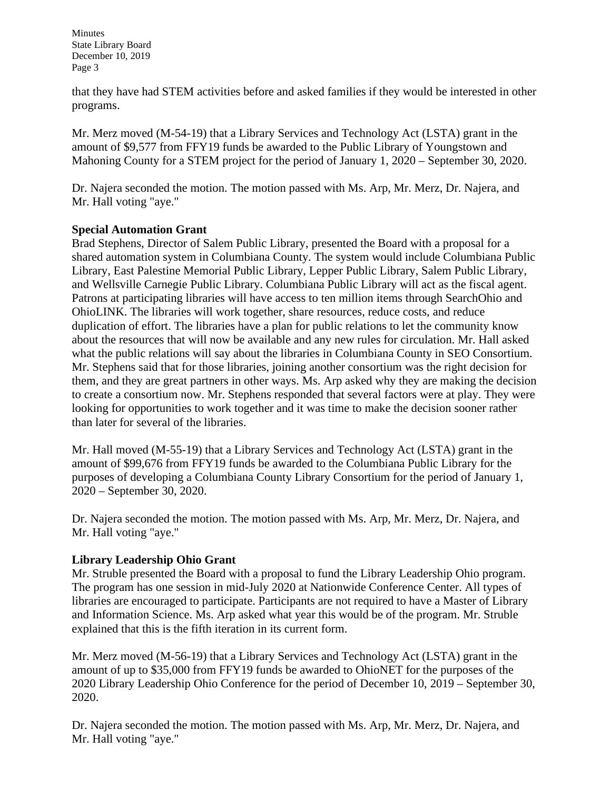that they have had STEM activities before and asked families if they would be interested in other programs.

Mr. Merz moved (M-54-19) that a Library Services and Technology Act (LSTA) grant in the amount of \$9,577 from FFY19 funds be awarded to the Public Library of Youngstown and Mahoning County for a STEM project for the period of January 1, 2020 – September 30, 2020.

Dr. Najera seconded the motion. The motion passed with Ms. Arp, Mr. Merz, Dr. Najera, and Mr. Hall voting "aye."

### **Special Automation Grant**

Brad Stephens, Director of Salem Public Library, presented the Board with a proposal for a shared automation system in Columbiana County. The system would include Columbiana Public Library, East Palestine Memorial Public Library, Lepper Public Library, Salem Public Library, and Wellsville Carnegie Public Library. Columbiana Public Library will act as the fiscal agent. Patrons at participating libraries will have access to ten million items through SearchOhio and OhioLINK. The libraries will work together, share resources, reduce costs, and reduce duplication of effort. The libraries have a plan for public relations to let the community know about the resources that will now be available and any new rules for circulation. Mr. Hall asked what the public relations will say about the libraries in Columbiana County in SEO Consortium. Mr. Stephens said that for those libraries, joining another consortium was the right decision for them, and they are great partners in other ways. Ms. Arp asked why they are making the decision to create a consortium now. Mr. Stephens responded that several factors were at play. They were looking for opportunities to work together and it was time to make the decision sooner rather than later for several of the libraries.

Mr. Hall moved (M-55-19) that a Library Services and Technology Act (LSTA) grant in the amount of \$99,676 from FFY19 funds be awarded to the Columbiana Public Library for the purposes of developing a Columbiana County Library Consortium for the period of January 1, 2020 – September 30, 2020.

Dr. Najera seconded the motion. The motion passed with Ms. Arp, Mr. Merz, Dr. Najera, and Mr. Hall voting "aye."

### **Library Leadership Ohio Grant**

Mr. Struble presented the Board with a proposal to fund the Library Leadership Ohio program. The program has one session in mid-July 2020 at Nationwide Conference Center. All types of libraries are encouraged to participate. Participants are not required to have a Master of Library and Information Science. Ms. Arp asked what year this would be of the program. Mr. Struble explained that this is the fifth iteration in its current form.

Mr. Merz moved (M-56-19) that a Library Services and Technology Act (LSTA) grant in the amount of up to \$35,000 from FFY19 funds be awarded to OhioNET for the purposes of the 2020 Library Leadership Ohio Conference for the period of December 10, 2019 – September 30, 2020.

Dr. Najera seconded the motion. The motion passed with Ms. Arp, Mr. Merz, Dr. Najera, and Mr. Hall voting "aye."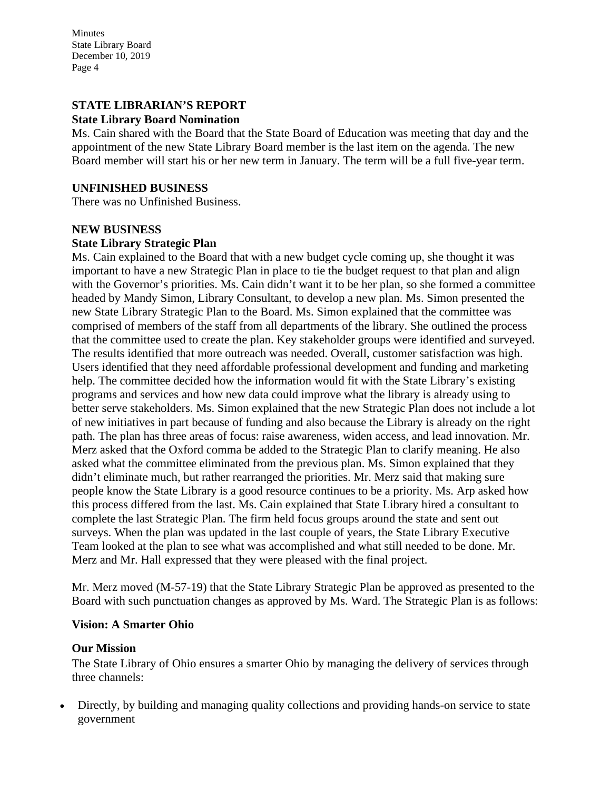### **STATE LIBRARIAN'S REPORT**

### **State Library Board Nomination**

Ms. Cain shared with the Board that the State Board of Education was meeting that day and the appointment of the new State Library Board member is the last item on the agenda. The new Board member will start his or her new term in January. The term will be a full five-year term.

#### **UNFINISHED BUSINESS**

There was no Unfinished Business.

## **NEW BUSINESS State Library Strategic Plan**

Ms. Cain explained to the Board that with a new budget cycle coming up, she thought it was important to have a new Strategic Plan in place to tie the budget request to that plan and align with the Governor's priorities. Ms. Cain didn't want it to be her plan, so she formed a committee headed by Mandy Simon, Library Consultant, to develop a new plan. Ms. Simon presented the new State Library Strategic Plan to the Board. Ms. Simon explained that the committee was comprised of members of the staff from all departments of the library. She outlined the process that the committee used to create the plan. Key stakeholder groups were identified and surveyed. The results identified that more outreach was needed. Overall, customer satisfaction was high. Users identified that they need affordable professional development and funding and marketing help. The committee decided how the information would fit with the State Library's existing programs and services and how new data could improve what the library is already using to better serve stakeholders. Ms. Simon explained that the new Strategic Plan does not include a lot of new initiatives in part because of funding and also because the Library is already on the right path. The plan has three areas of focus: raise awareness, widen access, and lead innovation. Mr. Merz asked that the Oxford comma be added to the Strategic Plan to clarify meaning. He also asked what the committee eliminated from the previous plan. Ms. Simon explained that they didn't eliminate much, but rather rearranged the priorities. Mr. Merz said that making sure people know the State Library is a good resource continues to be a priority. Ms. Arp asked how this process differed from the last. Ms. Cain explained that State Library hired a consultant to complete the last Strategic Plan. The firm held focus groups around the state and sent out surveys. When the plan was updated in the last couple of years, the State Library Executive Team looked at the plan to see what was accomplished and what still needed to be done. Mr. Merz and Mr. Hall expressed that they were pleased with the final project.

Mr. Merz moved (M-57-19) that the State Library Strategic Plan be approved as presented to the Board with such punctuation changes as approved by Ms. Ward. The Strategic Plan is as follows:

### **Vision: A Smarter Ohio**

### **Our Mission**

The State Library of Ohio ensures a smarter Ohio by managing the delivery of services through three channels:

• Directly, by building and managing quality collections and providing hands-on service to state government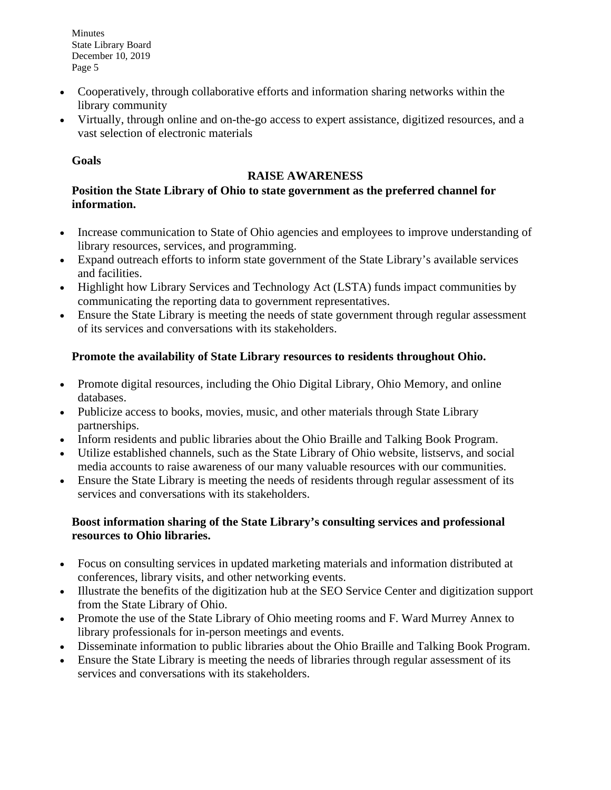- Cooperatively, through collaborative efforts and information sharing networks within the library community
- Virtually, through online and on-the-go access to expert assistance, digitized resources, and a vast selection of electronic materials

## **Goals**

## **RAISE AWARENESS**

## **Position the State Library of Ohio to state government as the preferred channel for information.**

- Increase communication to State of Ohio agencies and employees to improve understanding of library resources, services, and programming.
- Expand outreach efforts to inform state government of the State Library's available services and facilities.
- Highlight how Library Services and Technology Act (LSTA) funds impact communities by communicating the reporting data to government representatives.
- Ensure the State Library is meeting the needs of state government through regular assessment of its services and conversations with its stakeholders.

# **Promote the availability of State Library resources to residents throughout Ohio.**

- Promote digital resources, including the Ohio Digital Library, Ohio Memory, and online databases.
- Publicize access to books, movies, music, and other materials through State Library partnerships.
- Inform residents and public libraries about the Ohio Braille and Talking Book Program.
- Utilize established channels, such as the State Library of Ohio website, listservs, and social media accounts to raise awareness of our many valuable resources with our communities.
- Ensure the State Library is meeting the needs of residents through regular assessment of its services and conversations with its stakeholders.

## **Boost information sharing of the State Library's consulting services and professional resources to Ohio libraries.**

- Focus on consulting services in updated marketing materials and information distributed at conferences, library visits, and other networking events.
- Illustrate the benefits of the digitization hub at the SEO Service Center and digitization support from the State Library of Ohio.
- Promote the use of the State Library of Ohio meeting rooms and F. Ward Murrey Annex to library professionals for in-person meetings and events.
- Disseminate information to public libraries about the Ohio Braille and Talking Book Program.
- Ensure the State Library is meeting the needs of libraries through regular assessment of its services and conversations with its stakeholders.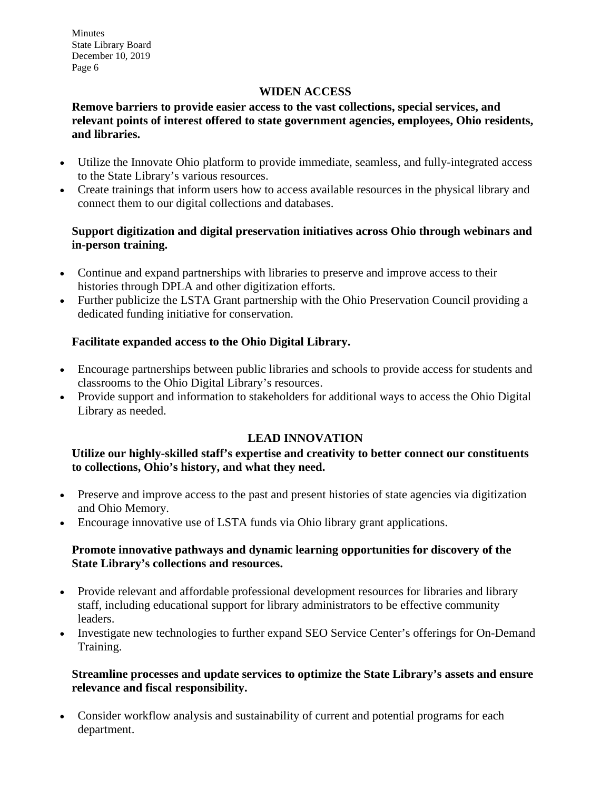## **WIDEN ACCESS**

**Remove barriers to provide easier access to the vast collections, special services, and relevant points of interest offered to state government agencies, employees, Ohio residents, and libraries.**

- Utilize the Innovate Ohio platform to provide immediate, seamless, and fully-integrated access to the State Library's various resources.
- Create trainings that inform users how to access available resources in the physical library and connect them to our digital collections and databases.

### **Support digitization and digital preservation initiatives across Ohio through webinars and in-person training.**

- Continue and expand partnerships with libraries to preserve and improve access to their histories through DPLA and other digitization efforts.
- Further publicize the LSTA Grant partnership with the Ohio Preservation Council providing a dedicated funding initiative for conservation.

### **Facilitate expanded access to the Ohio Digital Library.**

- Encourage partnerships between public libraries and schools to provide access for students and classrooms to the Ohio Digital Library's resources.
- Provide support and information to stakeholders for additional ways to access the Ohio Digital Library as needed.

### **LEAD INNOVATION**

### **Utilize our highly-skilled staff's expertise and creativity to better connect our constituents to collections, Ohio's history, and what they need.**

- Preserve and improve access to the past and present histories of state agencies via digitization and Ohio Memory.
- Encourage innovative use of LSTA funds via Ohio library grant applications.

### **Promote innovative pathways and dynamic learning opportunities for discovery of the State Library's collections and resources.**

- Provide relevant and affordable professional development resources for libraries and library staff, including educational support for library administrators to be effective community leaders.
- Investigate new technologies to further expand SEO Service Center's offerings for On-Demand Training.

### **Streamline processes and update services to optimize the State Library's assets and ensure relevance and fiscal responsibility.**

• Consider workflow analysis and sustainability of current and potential programs for each department.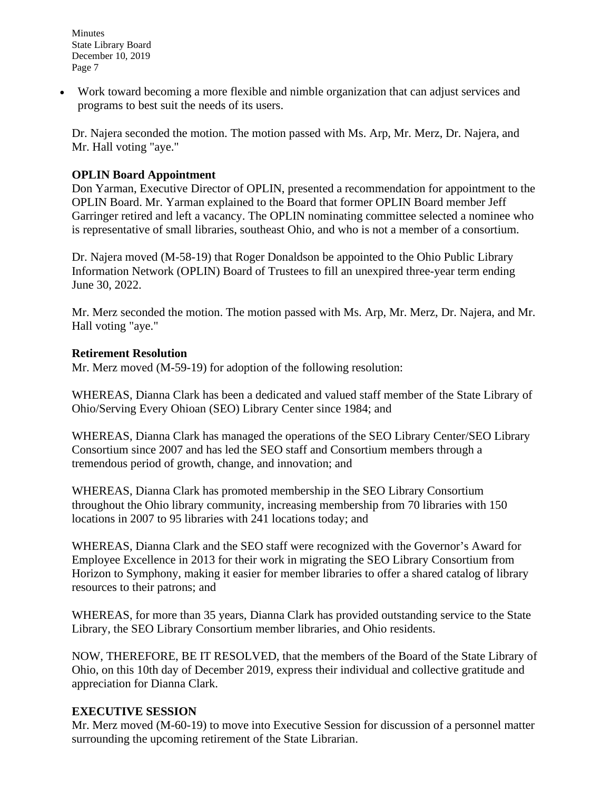• Work toward becoming a more flexible and nimble organization that can adjust services and programs to best suit the needs of its users.

Dr. Najera seconded the motion. The motion passed with Ms. Arp, Mr. Merz, Dr. Najera, and Mr. Hall voting "aye."

### **OPLIN Board Appointment**

Don Yarman, Executive Director of OPLIN, presented a recommendation for appointment to the OPLIN Board. Mr. Yarman explained to the Board that former OPLIN Board member Jeff Garringer retired and left a vacancy. The OPLIN nominating committee selected a nominee who is representative of small libraries, southeast Ohio, and who is not a member of a consortium.

Dr. Najera moved (M-58-19) that Roger Donaldson be appointed to the Ohio Public Library Information Network (OPLIN) Board of Trustees to fill an unexpired three-year term ending June 30, 2022.

Mr. Merz seconded the motion. The motion passed with Ms. Arp, Mr. Merz, Dr. Najera, and Mr. Hall voting "aye."

### **Retirement Resolution**

Mr. Merz moved (M-59-19) for adoption of the following resolution:

WHEREAS, Dianna Clark has been a dedicated and valued staff member of the State Library of Ohio/Serving Every Ohioan (SEO) Library Center since 1984; and

WHEREAS, Dianna Clark has managed the operations of the SEO Library Center/SEO Library Consortium since 2007 and has led the SEO staff and Consortium members through a tremendous period of growth, change, and innovation; and

WHEREAS, Dianna Clark has promoted membership in the SEO Library Consortium throughout the Ohio library community, increasing membership from 70 libraries with 150 locations in 2007 to 95 libraries with 241 locations today; and

WHEREAS, Dianna Clark and the SEO staff were recognized with the Governor's Award for Employee Excellence in 2013 for their work in migrating the SEO Library Consortium from Horizon to Symphony, making it easier for member libraries to offer a shared catalog of library resources to their patrons; and

WHEREAS, for more than 35 years, Dianna Clark has provided outstanding service to the State Library, the SEO Library Consortium member libraries, and Ohio residents.

NOW, THEREFORE, BE IT RESOLVED, that the members of the Board of the State Library of Ohio, on this 10th day of December 2019, express their individual and collective gratitude and appreciation for Dianna Clark.

## **EXECUTIVE SESSION**

Mr. Merz moved (M-60-19) to move into Executive Session for discussion of a personnel matter surrounding the upcoming retirement of the State Librarian.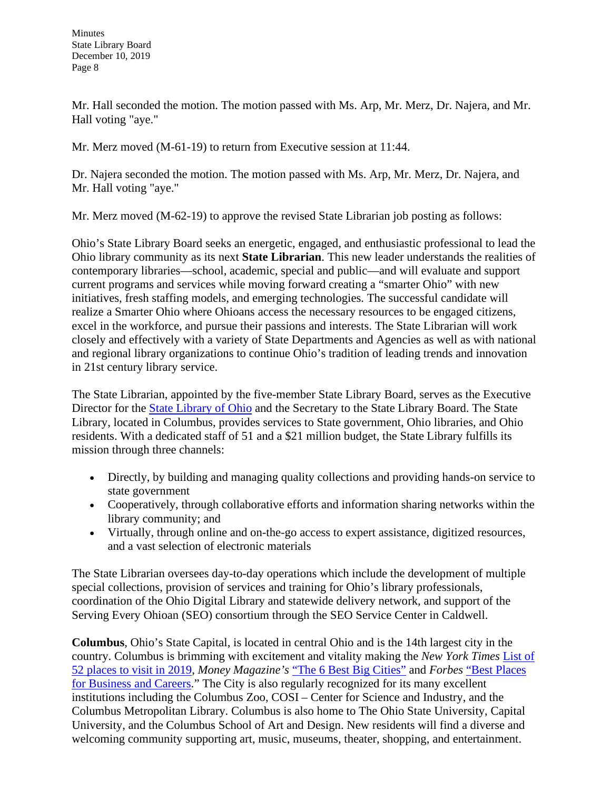Mr. Hall seconded the motion. The motion passed with Ms. Arp, Mr. Merz, Dr. Najera, and Mr. Hall voting "aye."

Mr. Merz moved (M-61-19) to return from Executive session at 11:44.

Dr. Najera seconded the motion. The motion passed with Ms. Arp, Mr. Merz, Dr. Najera, and Mr. Hall voting "aye."

Mr. Merz moved (M-62-19) to approve the revised State Librarian job posting as follows:

Ohio's State Library Board seeks an energetic, engaged, and enthusiastic professional to lead the Ohio library community as its next **State Librarian**. This new leader understands the realities of contemporary libraries—school, academic, special and public—and will evaluate and support current programs and services while moving forward creating a "smarter Ohio" with new initiatives, fresh staffing models, and emerging technologies. The successful candidate will realize a Smarter Ohio where Ohioans access the necessary resources to be engaged citizens, excel in the workforce, and pursue their passions and interests. The State Librarian will work closely and effectively with a variety of State Departments and Agencies as well as with national and regional library organizations to continue Ohio's tradition of leading trends and innovation in 21st century library service.

The State Librarian, appointed by the five-member State Library Board, serves as the Executive Director for the [State Library of Ohio](https://gcc01.safelinks.protection.outlook.com/?url=https%3A%2F%2Flibrary.ohio.gov%2F&data=02%7C01%7Cjward%40library.ohio.gov%7C62e0219a43164ab37df608d77f2920ca%7C50f8fcc494d84f0784eb36ed57c7c8a2%7C0%7C1%7C637117686963222599&sdata=rQMmXsT9kE8WZpI2JT8ANn8m8ZdX1NC3kwiAzOqsaeE%3D&reserved=0) and the Secretary to the State Library Board. The State Library, located in Columbus, provides services to State government, Ohio libraries, and Ohio residents. With a dedicated staff of 51 and a \$21 million budget, the State Library fulfills its mission through three channels:

- Directly, by building and managing quality collections and providing hands-on service to state government
- Cooperatively, through collaborative efforts and information sharing networks within the library community; and
- Virtually, through online and on-the-go access to expert assistance, digitized resources, and a vast selection of electronic materials

The State Librarian oversees day-to-day operations which include the development of multiple special collections, provision of services and training for Ohio's library professionals, coordination of the Ohio Digital Library and statewide delivery network, and support of the Serving Every Ohioan (SEO) consortium through the SEO Service Center in Caldwell.

**Columbus**, Ohio's State Capital, is located in central Ohio and is the 14th largest city in the country. Columbus is brimming with excitement and vitality making the *New York Times* [List of](https://gcc01.safelinks.protection.outlook.com/?url=https%3A%2F%2Fwww.nytimes.com%2Finteractive%2F2019%2Ftravel%2Fplaces-to-visit.html%3Fplace%3Dcolumbus%26smid%3Dfb-nyttravel%26smtyp%3Dcur&data=02%7C01%7Cjward%40library.ohio.gov%7C62e0219a43164ab37df608d77f2920ca%7C50f8fcc494d84f0784eb36ed57c7c8a2%7C0%7C1%7C637117686963222599&sdata=qly90PN7J8xOkpcO6T8ZXWWExIYKyHM0kx9nzX%2Bnd5k%3D&reserved=0)  [52 places to visit in 2019,](https://gcc01.safelinks.protection.outlook.com/?url=https%3A%2F%2Fwww.nytimes.com%2Finteractive%2F2019%2Ftravel%2Fplaces-to-visit.html%3Fplace%3Dcolumbus%26smid%3Dfb-nyttravel%26smtyp%3Dcur&data=02%7C01%7Cjward%40library.ohio.gov%7C62e0219a43164ab37df608d77f2920ca%7C50f8fcc494d84f0784eb36ed57c7c8a2%7C0%7C1%7C637117686963222599&sdata=qly90PN7J8xOkpcO6T8ZXWWExIYKyHM0kx9nzX%2Bnd5k%3D&reserved=0) *Money Magazine's* ["The 6 Best Big Cities"](https://gcc01.safelinks.protection.outlook.com/?url=https%3A%2F%2Fwww.columbusunderground.com%2Fcolumbus-named-one-of-the-6-best-big-cities-by-money-magazine&data=02%7C01%7Cjward%40library.ohio.gov%7C62e0219a43164ab37df608d77f2920ca%7C50f8fcc494d84f0784eb36ed57c7c8a2%7C0%7C1%7C637117686963232595&sdata=KVtGlZ4zwg7Ucw7Mzb6rWmG%2F4exdTUwaBfL0YsZtFk8%3D&reserved=0) and *Forbes* ["Best Places](https://gcc01.safelinks.protection.outlook.com/?url=https%3A%2F%2Fwww.forbes.com%2Fbest-places-for-business%2Flist%2F%23tab%3Aoverall&data=02%7C01%7Cjward%40library.ohio.gov%7C62e0219a43164ab37df608d77f2920ca%7C50f8fcc494d84f0784eb36ed57c7c8a2%7C0%7C1%7C637117686963232595&sdata=iMufsGzhcc1EHH%2Ba%2F3Od%2FV559GBA48Erl%2Bm8f4klmMQ%3D&reserved=0)  [for Business and Careers.](https://gcc01.safelinks.protection.outlook.com/?url=https%3A%2F%2Fwww.forbes.com%2Fbest-places-for-business%2Flist%2F%23tab%3Aoverall&data=02%7C01%7Cjward%40library.ohio.gov%7C62e0219a43164ab37df608d77f2920ca%7C50f8fcc494d84f0784eb36ed57c7c8a2%7C0%7C1%7C637117686963232595&sdata=iMufsGzhcc1EHH%2Ba%2F3Od%2FV559GBA48Erl%2Bm8f4klmMQ%3D&reserved=0)" The City is also regularly recognized for its many excellent institutions including the Columbus Zoo, COSI – Center for Science and Industry, and the Columbus Metropolitan Library. Columbus is also home to The Ohio State University, Capital University, and the Columbus School of Art and Design. New residents will find a diverse and welcoming community supporting art, music, museums, theater, shopping, and entertainment.